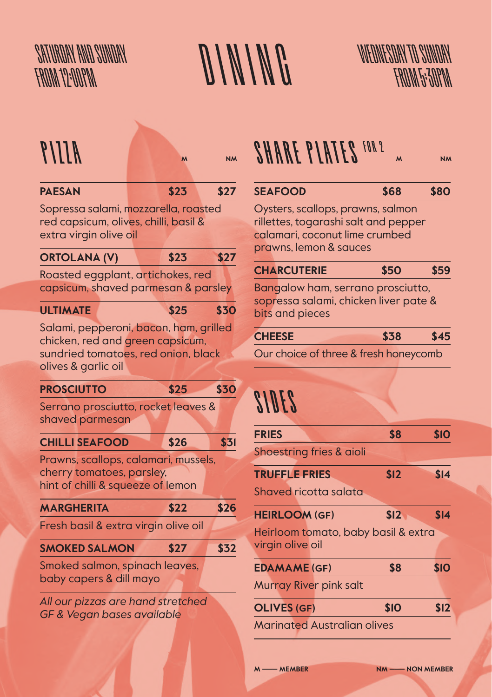



| $AIII$ $9$                                                                                              | M    | <b>NM</b> | <b>SHARE PLATES FOR 2</b>                                                                                                             | $\overline{M}$ | <b>NM</b>   |
|---------------------------------------------------------------------------------------------------------|------|-----------|---------------------------------------------------------------------------------------------------------------------------------------|----------------|-------------|
| <b>PAESAN</b>                                                                                           | \$23 | \$27      | <b>SEAFOOD</b>                                                                                                                        | \$68           | \$80        |
| Sopressa salami, mozzarella, roasted<br>red capsicum, olives, chilli, basil &<br>extra virgin olive oil |      |           | Oysters, scallops, prawns, salmon<br>rillettes, togarashi salt and pepper<br>calamari, coconut lime crumbed<br>prawns, lemon & sauces |                |             |
| <b>ORTOLANA (V)</b>                                                                                     | \$23 | \$27      | <b>CHARCUTERIE</b>                                                                                                                    | <b>\$50</b>    | \$59        |
| Roasted eggplant, artichokes, red<br>capsicum, shaved parmesan & parsley                                |      |           | Bangalow ham, serrano prosciutto,                                                                                                     |                |             |
|                                                                                                         |      |           | sopressa salami, chicken liver pate &                                                                                                 |                |             |
| <b>ULTIMATE</b>                                                                                         | \$25 | \$30      | bits and pieces                                                                                                                       |                |             |
| Salami, pepperoni, bacon, ham, grilled                                                                  |      |           | <b>CHEESE</b>                                                                                                                         | \$38           | \$45        |
| chicken, red and green capsicum,<br>sundried tomatoes, red onion, black                                 |      |           | Our choice of three & fresh honeycomb                                                                                                 |                |             |
| olives & garlic oil                                                                                     |      |           |                                                                                                                                       |                |             |
| <b>PROSCIUTTO</b>                                                                                       | \$25 | \$30      |                                                                                                                                       |                |             |
| Serrano prosciutto, rocket leaves &<br>shaved parmesan                                                  |      |           | <i>SIDES</i>                                                                                                                          |                |             |
| <b>CHILLI SEAFOOD</b>                                                                                   | \$26 | \$31      | <b>FRIES</b>                                                                                                                          | \$8            | \$10        |
| Prawns, scallops, calamari, mussels,                                                                    |      |           | Shoestring fries & aioli                                                                                                              |                |             |
| cherry tomatoes, parsley,                                                                               |      |           | <b>TRUFFLE FRIES</b>                                                                                                                  | \$12           | \$14        |
| hint of chilli & squeeze of lemon                                                                       |      |           | Shaved ricotta salata                                                                                                                 |                |             |
| <b>MARGHERITA</b>                                                                                       | \$22 | \$26      | <b>HEIRLOOM (GF)</b>                                                                                                                  | \$12           | \$14        |
| Fresh basil & extra virgin olive oil                                                                    |      |           | Heirloom tomato, baby basil & extra                                                                                                   |                |             |
| <b>SMOKED SALMON</b>                                                                                    | \$27 | \$32      | virgin olive oil                                                                                                                      |                |             |
| Smoked salmon, spinach leaves,                                                                          |      |           | <b>EDAMAME (GF)</b>                                                                                                                   | \$8            | <b>\$10</b> |
| baby capers & dill mayo                                                                                 |      |           | Murray River pink salt                                                                                                                |                |             |
| All our pizzas are hand stretched                                                                       |      |           |                                                                                                                                       |                |             |
| GF & Vegan bases available                                                                              |      |           | <b>OLIVES (GF)</b>                                                                                                                    | \$10           | \$12        |
|                                                                                                         |      |           | <b>Marinated Australian olives</b>                                                                                                    |                |             |

| <b>SEAFOOD</b> | \$68 | <b>\$80</b> |
|----------------|------|-------------|
|                |      |             |

| <b>CHEESE</b> | \$38 | \$45 |
|---------------|------|------|
|               |      |      |

### SIDES

| <b>FRIES</b>                                            | \$8  | \$10 |  |
|---------------------------------------------------------|------|------|--|
| Shoestring fries & aioli                                |      |      |  |
| <b>TRUFFLE FRIES</b>                                    | \$12 | \$14 |  |
| Shaved ricotta salata                                   |      |      |  |
| <b>HEIRLOOM (GF)</b>                                    | \$12 | \$14 |  |
| Heirloom tomato, baby basil & extra<br>virgin olive oil |      |      |  |
| <b>EDAMAME (GF)</b>                                     | \$8  | \$10 |  |
| Murray River pink salt                                  |      |      |  |
| <b>OLIVES (GF)</b>                                      | \$10 | \$12 |  |
| <b>Marinated Australian olives</b>                      |      |      |  |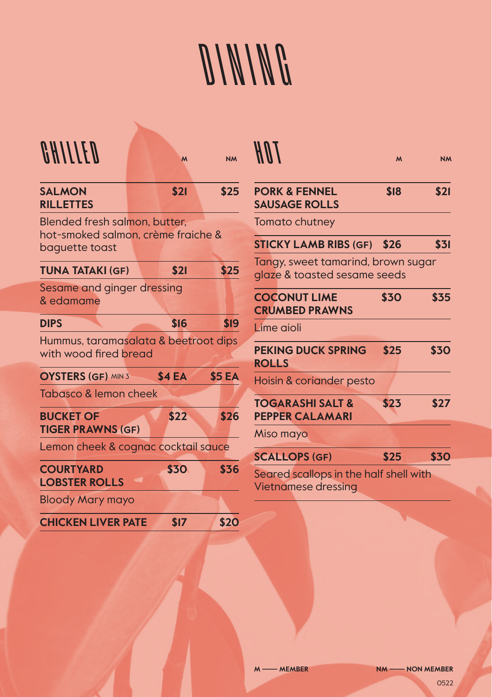# DINING

| OHIITED                                                             | $\mathsf{M}$ | <b>NM</b>     | H II I                                                             | $\mathsf{M}$ | <b>NM</b> |
|---------------------------------------------------------------------|--------------|---------------|--------------------------------------------------------------------|--------------|-----------|
| <b>SALMON</b><br><b>RILLETTES</b>                                   | \$21         | \$25          | <b>PORK &amp; FENNEL</b><br><b>SAUSAGE ROLLS</b>                   | \$18         | \$21      |
| Blended fresh salmon, butter,<br>hot-smoked salmon, crème fraiche & |              |               | Tomato chutney                                                     |              |           |
| baguette toast                                                      |              |               | <b>STICKY LAMB RIBS (GF)</b>                                       | \$26         | \$31      |
| <b>TUNA TATAKI (GF)</b>                                             | \$21         | \$25          | Tangy, sweet tamarind, brown sugar<br>glaze & toasted sesame seeds |              |           |
| Sesame and ginger dressing<br>& edamame                             |              |               | <b>COCONUT LIME</b><br><b>CRUMBED PRAWNS</b>                       | \$30         | \$35      |
| <b>DIPS</b>                                                         | \$16         | \$19          | Lime aioli                                                         |              |           |
| Hummus, taramasalata & beetroot dips<br>with wood fired bread       |              |               | <b>PEKING DUCK SPRING</b><br><b>ROLLS</b>                          | \$25         | \$30      |
| <b>OYSTERS (GF) MIN 3</b>                                           | \$4 EA       | <b>\$5 EA</b> | Hoisin & coriander pesto                                           |              |           |
| Tabasco & lemon cheek<br><b>BUCKET OF</b>                           | \$22         | \$26          | <b>TOGARASHI SALT &amp;</b><br><b>PEPPER CALAMARI</b>              | \$23         | \$27      |
| <b>TIGER PRAWNS (GF)</b>                                            |              |               | Miso mayo                                                          |              |           |
| Lemon cheek & cognac cocktail sauce                                 |              |               | <b>SCALLOPS (GF)</b>                                               | \$25         | \$30      |
| <b>COURTYARD</b><br><b>LOBSTER ROLLS</b>                            | \$30         | \$36          | Seared scallops in the half shell with<br>Vietnamese dressing      |              |           |
| <b>Bloody Mary mayo</b>                                             |              |               |                                                                    |              |           |
| <b>CHICKEN LIVER PATE</b>                                           | \$17         | \$20          |                                                                    |              |           |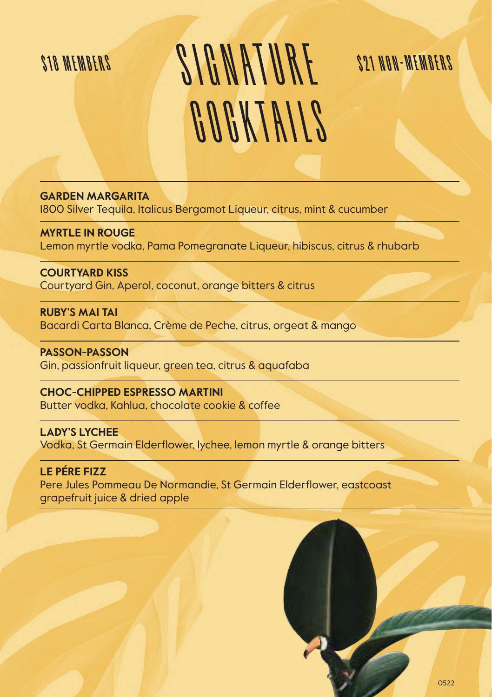## S I G N AT URE COCKTAILS \$18 MEMBERS \$21 NON-MEMBERS

**GARDEN MARGARITA**

1800 Silver Tequila, Italicus Bergamot Liqueur, citrus, mint & cucumber

**MYRTLE IN ROUGE**  Lemon myrtle vodka, Pama Pomegranate Liqueur, hibiscus, citrus & rhubarb

**COURTYARD KISS** Courtyard Gin, Aperol, coconut, orange bitters & citrus

**RUBY'S MAI TAI** Bacardi Carta Blanca, Crème de Peche, citrus, orgeat & mango

**PASSON-PASSON** Gin, passionfruit liqueur, green tea, citrus & aquafaba

**CHOC-CHIPPED ESPRESSO MARTINI** Butter vodka, Kahlua, chocolate cookie & coffee

**LADY'S LYCHEE** Vodka, St Germain Elderflower, lychee, lemon myrtle & orange bitters

**LE PÉRE FIZZ** Pere Jules Pommeau De Normandie, St Germain Elderflower, eastcoast grapefruit juice & dried apple